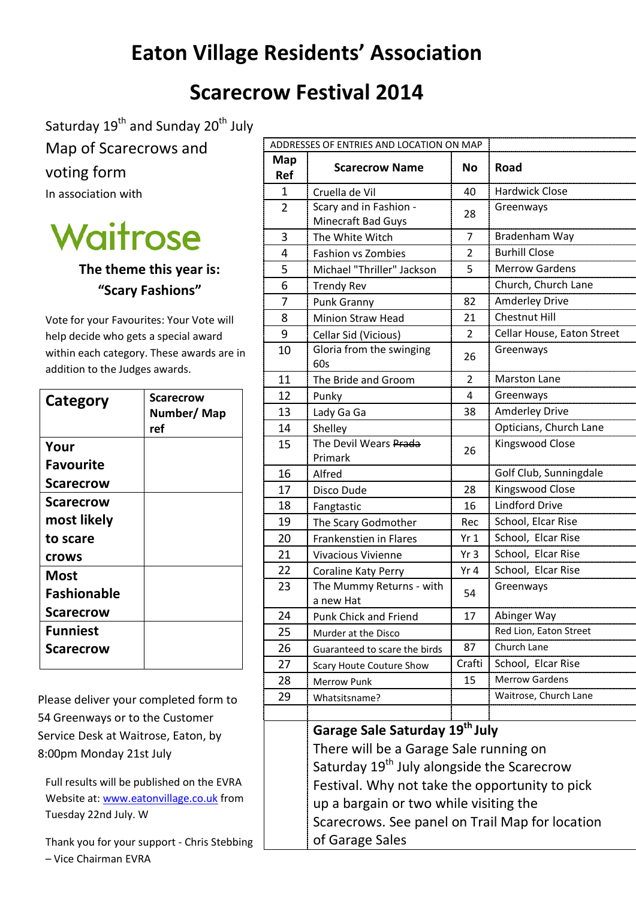## **Eaton Village Residents' Association**

## **Scarecrow Festival 2014**

Saturday 19<sup>th</sup> and Sunday 20<sup>th</sup> July

Map of Scarecrows and voting form

In association with



**The theme this year is: "Scary Fashions"**

Vote for your Favourites: Your Vote will help decide who gets a special award within each category. These awards are in addition to the Judges awards.

| Category           | <b>Scarecrow</b><br>Number/Map<br>ref |
|--------------------|---------------------------------------|
| Your               |                                       |
| <b>Favourite</b>   |                                       |
| <b>Scarecrow</b>   |                                       |
| <b>Scarecrow</b>   |                                       |
| most likely        |                                       |
| to scare           |                                       |
| <b>Crows</b>       |                                       |
| Most               |                                       |
| <b>Fashionable</b> |                                       |
| <b>Scarecrow</b>   |                                       |
| <b>Funniest</b>    |                                       |
| <b>Scarecrow</b>   |                                       |
|                    |                                       |

Please deliver your completed form to 54 Greenways or to the Customer Service Desk at Waitrose, Eaton, by 8:00pm Monday 21st July

Full results will be published on the EVRA Website at: [www.eatonvillage.co.uk](http://www.eatonvillage.co.uk/) from Tuesday 22nd July. W

Thank you for your support - Chris Stebbing – Vice Chairman EVRA

| ADDRESSES OF ENTRIES AND LOCATION ON MAP |                                                                                           |                 |                            |  |  |
|------------------------------------------|-------------------------------------------------------------------------------------------|-----------------|----------------------------|--|--|
| Map<br>Ref                               | <b>Scarecrow Name</b>                                                                     | No              | <b>Road</b>                |  |  |
| 1                                        | Cruella de Vil                                                                            | 40              | <b>Hardwick Close</b>      |  |  |
| $\overline{2}$                           | Scary and in Fashion -<br>Minecraft Bad Guys                                              | 28              | Greenways                  |  |  |
| 3                                        | The White Witch                                                                           | 7               | Bradenham Way              |  |  |
| 4                                        | <b>Fashion vs Zombies</b>                                                                 | 2               | <b>Burhill Close</b>       |  |  |
| 5                                        | Michael "Thriller" Jackson                                                                | 5               | <b>Merrow Gardens</b>      |  |  |
| 6                                        | <b>Trendy Rev</b>                                                                         |                 | Church, Church Lane        |  |  |
| 7                                        | Punk Granny                                                                               | 82              | <b>Amderley Drive</b>      |  |  |
| 8                                        | <b>Minion Straw Head</b>                                                                  | 21              | <b>Chestnut Hill</b>       |  |  |
| 9                                        | Cellar Sid (Vicious)                                                                      | $\overline{2}$  | Cellar House, Eaton Street |  |  |
| 10                                       | Gloria from the swinging<br>60s                                                           | 26              | Greenways                  |  |  |
| 11                                       | The Bride and Groom                                                                       | $\overline{2}$  | <b>Marston Lane</b>        |  |  |
| 12                                       | Punky                                                                                     | 4               | Greenways                  |  |  |
| 13                                       | Lady Ga Ga                                                                                | 38              | <b>Amderley Drive</b>      |  |  |
| 14                                       | Shelley                                                                                   |                 | Opticians, Church Lane     |  |  |
| 15                                       | The Devil Wears Prada<br>Primark                                                          | 26              | Kingswood Close            |  |  |
| 16                                       | Alfred                                                                                    |                 | Golf Club, Sunningdale     |  |  |
| 17                                       | Disco Dude                                                                                | 28              | Kingswood Close            |  |  |
| 18                                       | Fangtastic                                                                                | 16              | <b>Lindford Drive</b>      |  |  |
| 19                                       | The Scary Godmother                                                                       | Rec             | School, Elcar Rise         |  |  |
| 20                                       | <b>Frankenstien in Flares</b>                                                             | Yr 1            | School, Elcar Rise         |  |  |
| 21                                       | <b>Vivacious Vivienne</b>                                                                 | Yr3             | School, Elcar Rise         |  |  |
| 22                                       | Coraline Katy Perry                                                                       | Yr <sub>4</sub> | School, Elcar Rise         |  |  |
| 23                                       | The Mummy Returns - with<br>a new Hat                                                     | 54              | Greenways                  |  |  |
| 24                                       | <b>Punk Chick and Friend</b>                                                              | 17              | Abinger Way                |  |  |
| 25                                       | Murder at the Disco                                                                       |                 | Red Lion, Eaton Street     |  |  |
| 26                                       | Guaranteed to scare the birds                                                             | 87              | Church Lane                |  |  |
| 27                                       | <b>Scary Houte Couture Show</b>                                                           | Crafti          | School, Elcar Rise         |  |  |
| 28                                       | Merrow Punk                                                                               | 15              | Merrow Gardens             |  |  |
| 29                                       | Whatsitsname?                                                                             |                 | Waitrose, Church Lane      |  |  |
|                                          |                                                                                           |                 |                            |  |  |
|                                          | Garage Sale Saturday 19 <sup>th</sup> July                                                |                 |                            |  |  |
|                                          | There will be a Garage Sale running on                                                    |                 |                            |  |  |
|                                          | Saturday 19 <sup>th</sup> July alongside the Scarecrow                                    |                 |                            |  |  |
|                                          | Festival. Why not take the opportunity to pick                                            |                 |                            |  |  |
|                                          | up a bargain or two while visiting the<br>Scarecrows. See panel on Trail Map for location |                 |                            |  |  |
|                                          |                                                                                           |                 |                            |  |  |
|                                          |                                                                                           |                 |                            |  |  |

of Garage Sales